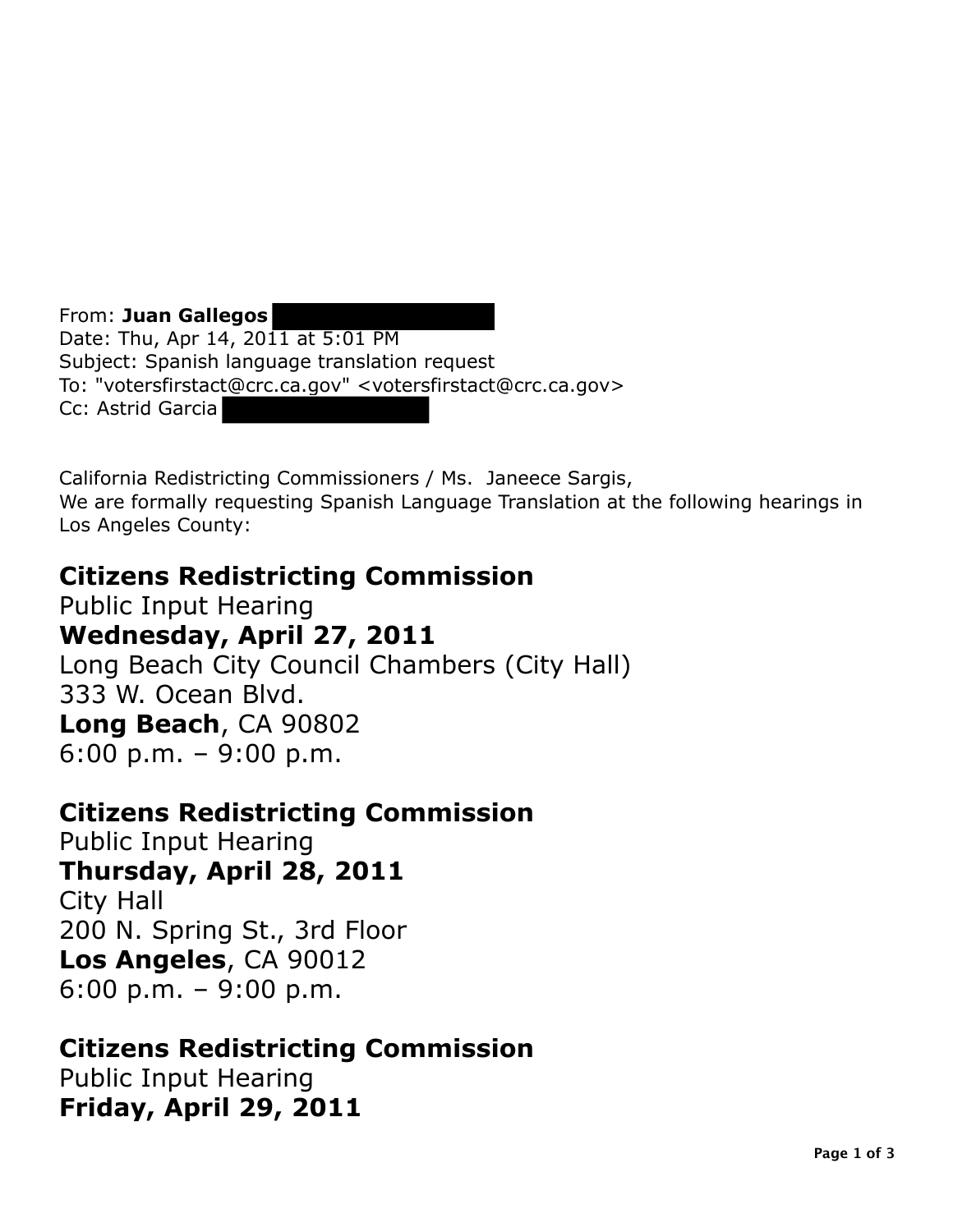From: **Juan Gallegos**  Date: Thu, Apr 14, 2011 at 5:01 PM Subject: Spanish language translation request To: "votersfirstact@crc.ca.gov" <votersfirstact@crc.ca.gov> Cc: Astrid Garcia

California Redistricting Commissioners / Ms. Janeece Sargis, We are formally requesting Spanish Language Translation at the following hearings in Los Angeles County:

# **Citizens Redistricting Commission**

Public Input Hearing **Wednesday, April 27, 2011**  Long Beach City Council Chambers (City Hall) 333 W. Ocean Blvd. **Long Beach**, CA 90802 6:00 p.m. – 9:00 p.m.

## **Citizens Redistricting Commission**

Public Input Hearing **Thursday, April 28, 2011**  City Hall 200 N. Spring St., 3rd Floor **Los Angeles**, CA 90012 6:00 p.m. – 9:00 p.m.

# **Citizens Redistricting Commission**

Public Input Hearing **Friday, April 29, 2011**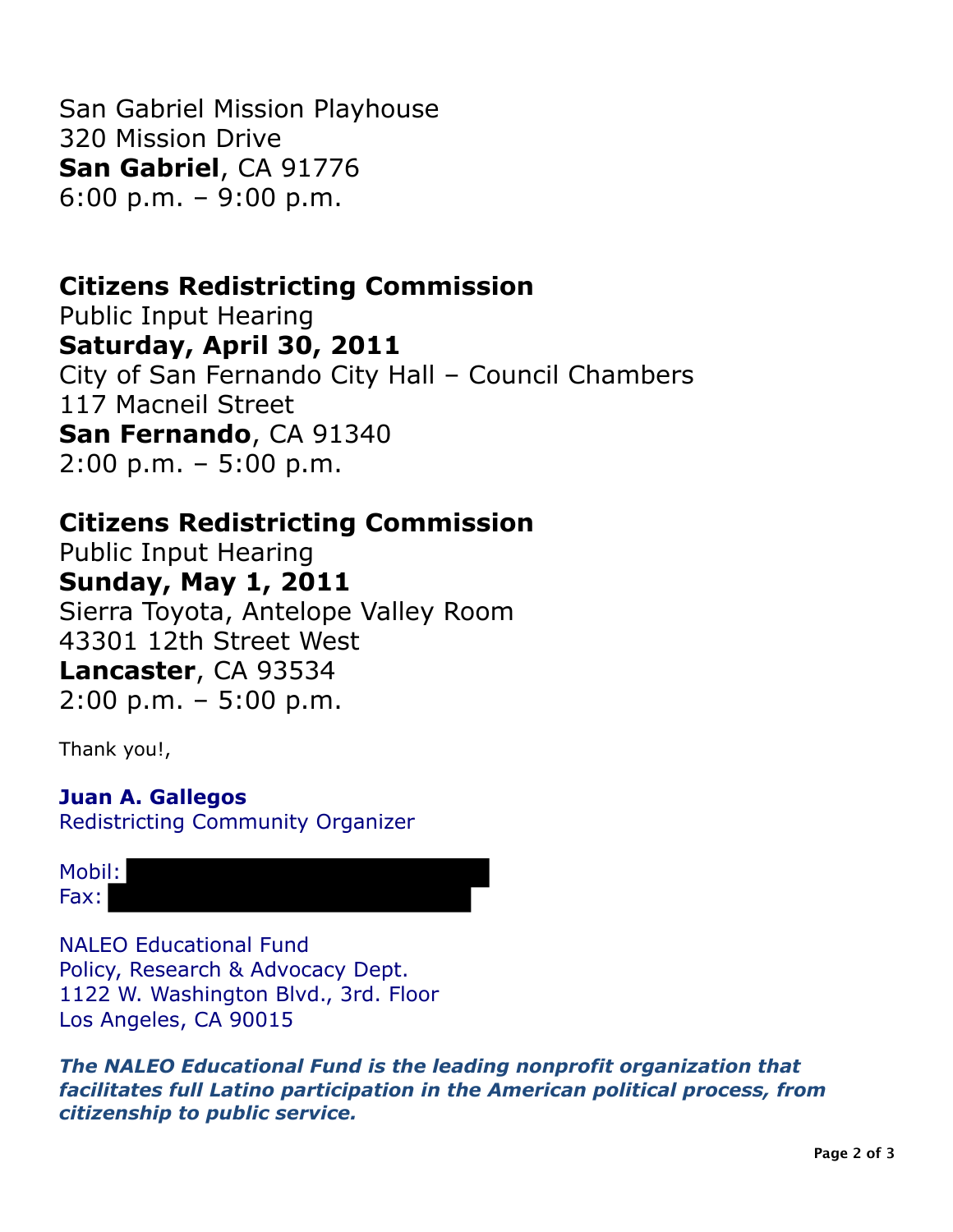San Gabriel Mission Playhouse 320 Mission Drive **San Gabriel**, CA 91776 6:00 p.m. – 9:00 p.m.

## **Citizens Redistricting Commission**

 **Saturday, April 30, 2011**  City of San Fernando City Hall – Council Chambers 117 Macneil Street Public Input Hearing **San Fernando**, CA 91340 2:00 p.m. – 5:00 p.m.

### **Citizens Redistricting Commission**

 **Sunday, May 1, 2011**  Sierra Toyota, Antelope Valley Room 43301 12th Street West Public Input Hearing **Lancaster**, CA 93534 2:00 p.m. – 5:00 p.m.

Thank you!,

#### **Juan A. Gallegos**  Redistricting Community Organizer

Mobil: Fax:

 Policy, Research & Advocacy Dept. 1122 W. Washington Blvd., 3rd. Floor Los Angeles, CA 90015 NALEO Educational Fund

 *The NALEO Educational Fund is the leading nonprofit organization that facilitates full Latino participation in the American political process, from citizenship to public service.*